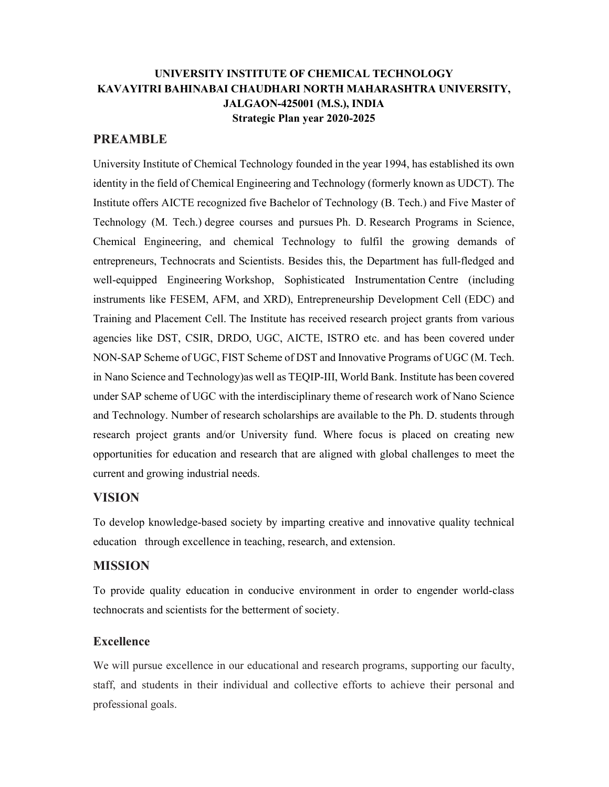# UNIVERSITY INSTITUTE OF CHEMICAL TECHNOLOGY KAVAYITRI BAHINABAI CHAUDHARI NORTH MAHARASHTRA UNIVERSITY, JALGAON-425001 (M.S.), INDIA Strategic Plan year 2020-2025

#### PREAMBLE

University Institute of Chemical Technology founded in the year 1994, has established its own identity in the field of Chemical Engineering and Technology (formerly known as UDCT). The Institute offers AICTE recognized five Bachelor of Technology (B. Tech.) and Five Master of Technology (M. Tech.) degree courses and pursues Ph. D. Research Programs in Science, Chemical Engineering, and chemical Technology to fulfil the growing demands of entrepreneurs, Technocrats and Scientists. Besides this, the Department has full-fledged and well-equipped Engineering Workshop, Sophisticated Instrumentation Centre (including instruments like FESEM, AFM, and XRD), Entrepreneurship Development Cell (EDC) and Training and Placement Cell. The Institute has received research project grants from various agencies like DST, CSIR, DRDO, UGC, AICTE, ISTRO etc. and has been covered under NON-SAP Scheme of UGC, FIST Scheme of DST and Innovative Programs of UGC (M. Tech. in Nano Science and Technology)as well as TEQIP-III, World Bank. Institute has been covered under SAP scheme of UGC with the interdisciplinary theme of research work of Nano Science and Technology. Number of research scholarships are available to the Ph. D. students through research project grants and/or University fund. Where focus is placed on creating new opportunities for education and research that are aligned with global challenges to meet the current and growing industrial needs.

#### VISION

To develop knowledge-based society by imparting creative and innovative quality technical education through excellence in teaching, research, and extension.

#### MISSION

To provide quality education in conducive environment in order to engender world-class technocrats and scientists for the betterment of society.

#### **Excellence**

We will pursue excellence in our educational and research programs, supporting our faculty, staff, and students in their individual and collective efforts to achieve their personal and professional goals.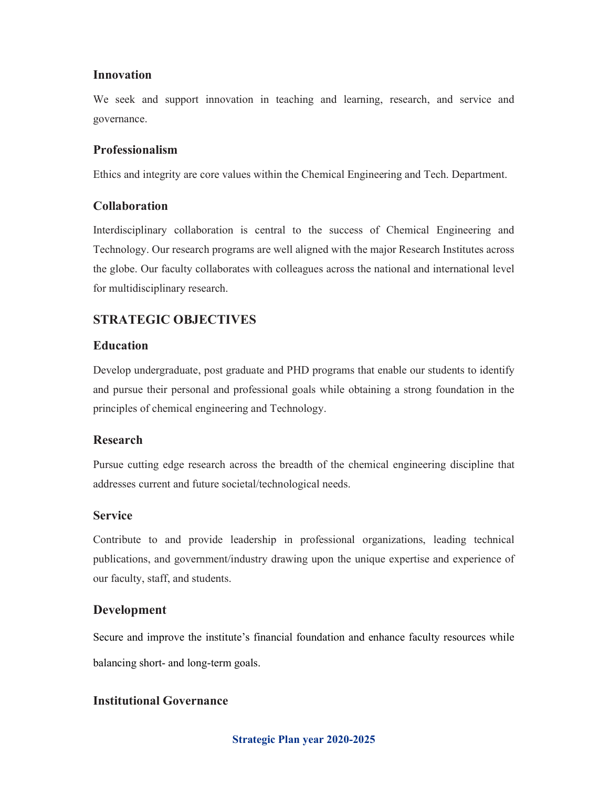#### Innovation

We seek and support innovation in teaching and learning, research, and service and governance.

### Professionalism

Ethics and integrity are core values within the Chemical Engineering and Tech. Department.

### Collaboration

Interdisciplinary collaboration is central to the success of Chemical Engineering and Technology. Our research programs are well aligned with the major Research Institutes across the globe. Our faculty collaborates with colleagues across the national and international level for multidisciplinary research.

# STRATEGIC OBJECTIVES

### Education

Develop undergraduate, post graduate and PHD programs that enable our students to identify and pursue their personal and professional goals while obtaining a strong foundation in the principles of chemical engineering and Technology.

## Research

Pursue cutting edge research across the breadth of the chemical engineering discipline that addresses current and future societal/technological needs.

#### Service

Contribute to and provide leadership in professional organizations, leading technical publications, and government/industry drawing upon the unique expertise and experience of our faculty, staff, and students.

## Development

Secure and improve the institute's financial foundation and enhance faculty resources while balancing short- and long-term goals.

## Institutional Governance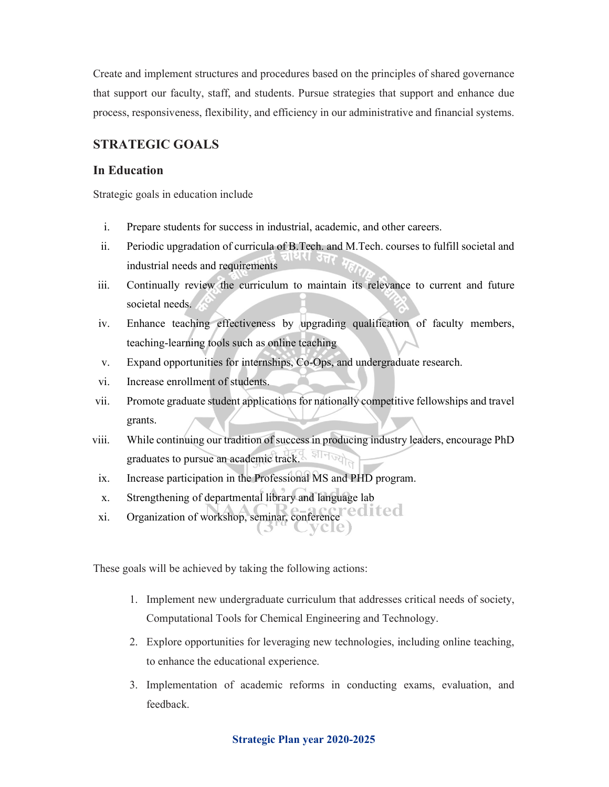Create and implement structures and procedures based on the principles of shared governance that support our faculty, staff, and students. Pursue strategies that support and enhance due process, responsiveness, flexibility, and efficiency in our administrative and financial systems.

## STRATEGIC GOALS

#### In Education

Strategic goals in education include

- i. Prepare students for success in industrial, academic, and other careers.
- ii. Periodic upgradation of curricula of B.Tech. and M.Tech. courses to fulfill societal and ।वस उत्तर industrial needs and requirements
- iii. Continually review the curriculum to maintain its relevance to current and future societal needs.
- iv. Enhance teaching effectiveness by upgrading qualification of faculty members, teaching-learning tools such as online teaching
- v. Expand opportunities for internships, Co-Ops, and undergraduate research.
- vi. Increase enrollment of students.
- vii. Promote graduate student applications for nationally competitive fellowships and travel grants.
- viii. While continuing our tradition of success in producing industry leaders, encourage PhD जीनज्यो graduates to pursue an academic track.
- ix. Increase participation in the Professional MS and PHD program.
- x. Strengthening of departmental library and language lab
- xi. Organization of workshop, seminar, conference

These goals will be achieved by taking the following actions:

- 1. Implement new undergraduate curriculum that addresses critical needs of society, Computational Tools for Chemical Engineering and Technology.
- 2. Explore opportunities for leveraging new technologies, including online teaching, to enhance the educational experience.
- 3. Implementation of academic reforms in conducting exams, evaluation, and feedback.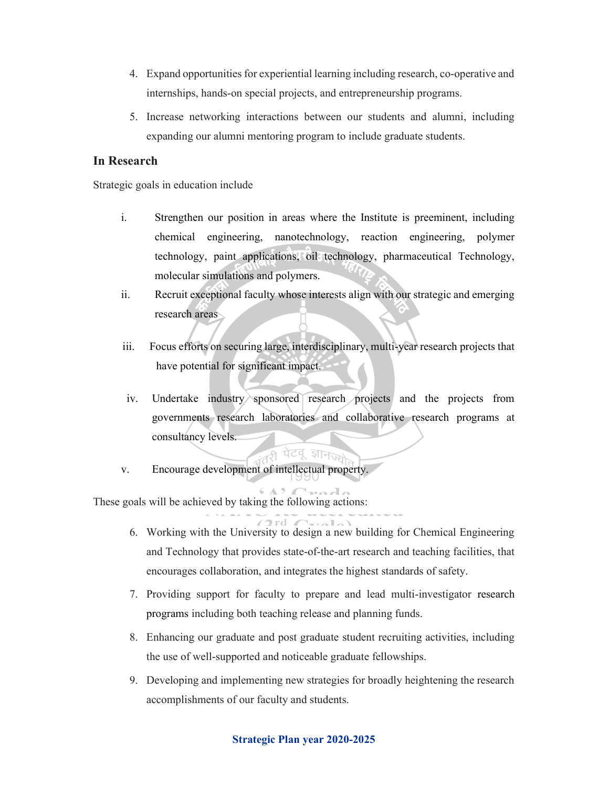- 4. Expand opportunities for experiential learning including research, co-operative and internships, hands-on special projects, and entrepreneurship programs.
- 5. Increase networking interactions between our students and alumni, including expanding our alumni mentoring program to include graduate students.

#### In Research

Strategic goals in education include

- i. Strengthen our position in areas where the Institute is preeminent, including chemical engineering, nanotechnology, reaction engineering, polymer technology, paint applications, oil technology, pharmaceutical Technology, molecular simulations and polymers.
- ii. Recruit exceptional faculty whose interests align with our strategic and emerging research areas
- iii. Focus efforts on securing large, interdisciplinary, multi-year research projects that have potential for significant impact.
- iv. Undertake industry sponsored research projects and the projects from governments research laboratories and collaborative research programs at consultancy levels.

*ही* पेटवू ज्ञानको

v. Encourage development of intellectual property.

These goals will be achieved by taking the following actions:

- 6. Working with the University to design a new building for Chemical Engineering and Technology that provides state-of-the-art research and teaching facilities, that encourages collaboration, and integrates the highest standards of safety.
- 7. Providing support for faculty to prepare and lead multi-investigator research programs including both teaching release and planning funds.
- 8. Enhancing our graduate and post graduate student recruiting activities, including the use of well-supported and noticeable graduate fellowships.
- 9. Developing and implementing new strategies for broadly heightening the research accomplishments of our faculty and students.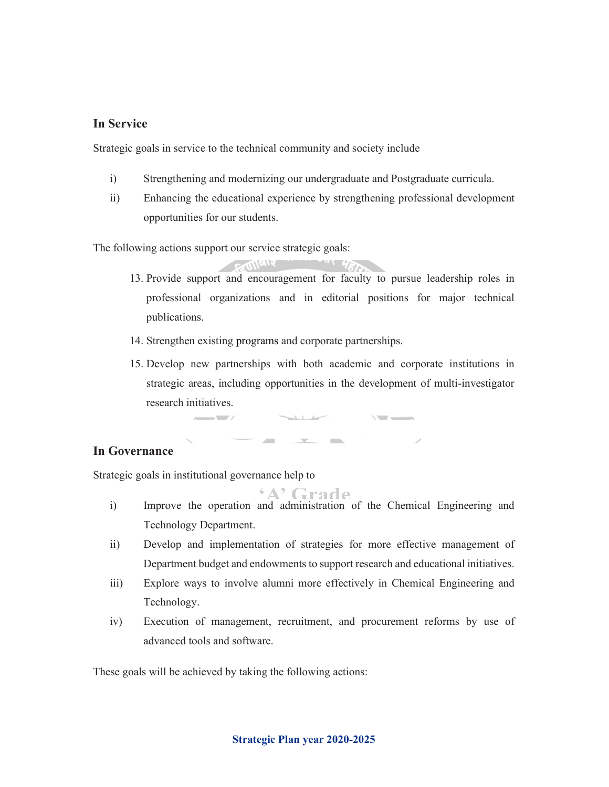#### In Service

Strategic goals in service to the technical community and society include

- i) Strengthening and modernizing our undergraduate and Postgraduate curricula.
- ii) Enhancing the educational experience by strengthening professional development opportunities for our students.

The following actions support our service strategic goals:

- CONTAIN 13. Provide support and encouragement for faculty to pursue leadership roles in professional organizations and in editorial positions for major technical publications.
- 14. Strengthen existing programs and corporate partnerships.
- 15. Develop new partnerships with both academic and corporate institutions in strategic areas, including opportunities in the development of multi-investigator research initiatives.

 $\mathbf{r}$  and  $\mathbf{r}$  and  $\mathbf{r}$  and  $\mathbf{r}$ 

#### In Governance

Strategic goals in institutional governance help to

 $\overline{\phantom{a}}$ 

- 'A' Grade i) Improve the operation and administration of the Chemical Engineering and Technology Department.
- ii) Develop and implementation of strategies for more effective management of Department budget and endowments to support research and educational initiatives.
- iii) Explore ways to involve alumni more effectively in Chemical Engineering and Technology.
- iv) Execution of management, recruitment, and procurement reforms by use of advanced tools and software.

These goals will be achieved by taking the following actions: